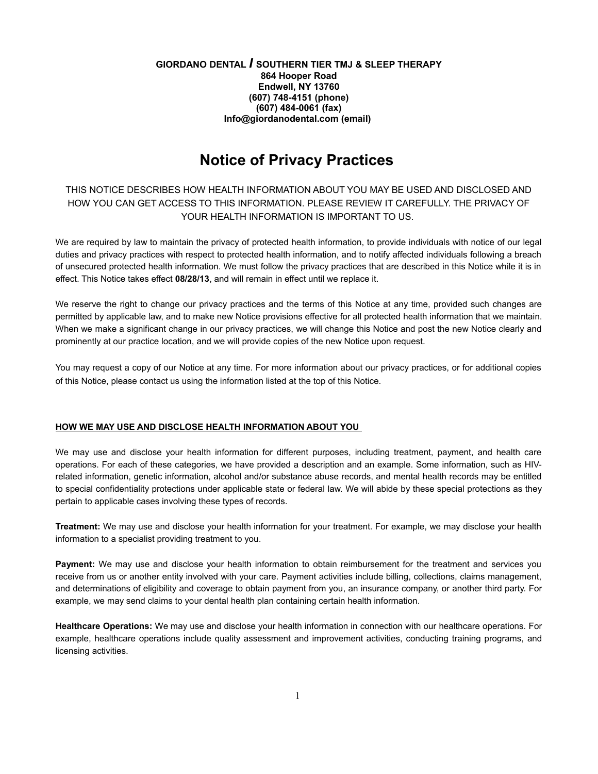### **GIORDANO DENTAL** *I* **SOUTHERN TIER TMJ & SLEEP THERAPY 864 Hooper Road Endwell, NY 13760 (607) 748-4151 (phone) (607) 484-0061 (fax) Info@giordanodental.com (email)**

# **Notice of Privacy Practices**

## THIS NOTICE DESCRIBES HOW HEALTH INFORMATION ABOUT YOU MAY BE USED AND DISCLOSED AND HOW YOU CAN GET ACCESS TO THIS INFORMATION. PLEASE REVIEW IT CAREFULLY. THE PRIVACY OF YOUR HEALTH INFORMATION IS IMPORTANT TO US.

We are required by law to maintain the privacy of protected health information, to provide individuals with notice of our legal duties and privacy practices with respect to protected health information, and to notify affected individuals following a breach of unsecured protected health information. We must follow the privacy practices that are described in this Notice while it is in effect. This Notice takes effect **08/28/13**, and will remain in effect until we replace it.

We reserve the right to change our privacy practices and the terms of this Notice at any time, provided such changes are permitted by applicable law, and to make new Notice provisions effective for all protected health information that we maintain. When we make a significant change in our privacy practices, we will change this Notice and post the new Notice clearly and prominently at our practice location, and we will provide copies of the new Notice upon request.

You may request a copy of our Notice at any time. For more information about our privacy practices, or for additional copies of this Notice, please contact us using the information listed at the top of this Notice.

#### **HOW WE MAY USE AND DISCLOSE HEALTH INFORMATION ABOUT YOU**

We may use and disclose your health information for different purposes, including treatment, payment, and health care operations. For each of these categories, we have provided a description and an example. Some information, such as HIVrelated information, genetic information, alcohol and/or substance abuse records, and mental health records may be entitled to special confidentiality protections under applicable state or federal law. We will abide by these special protections as they pertain to applicable cases involving these types of records.

**Treatment:** We may use and disclose your health information for your treatment. For example, we may disclose your health information to a specialist providing treatment to you.

**Payment:** We may use and disclose your health information to obtain reimbursement for the treatment and services you receive from us or another entity involved with your care. Payment activities include billing, collections, claims management, and determinations of eligibility and coverage to obtain payment from you, an insurance company, or another third party. For example, we may send claims to your dental health plan containing certain health information.

**Healthcare Operations:** We may use and disclose your health information in connection with our healthcare operations. For example, healthcare operations include quality assessment and improvement activities, conducting training programs, and licensing activities.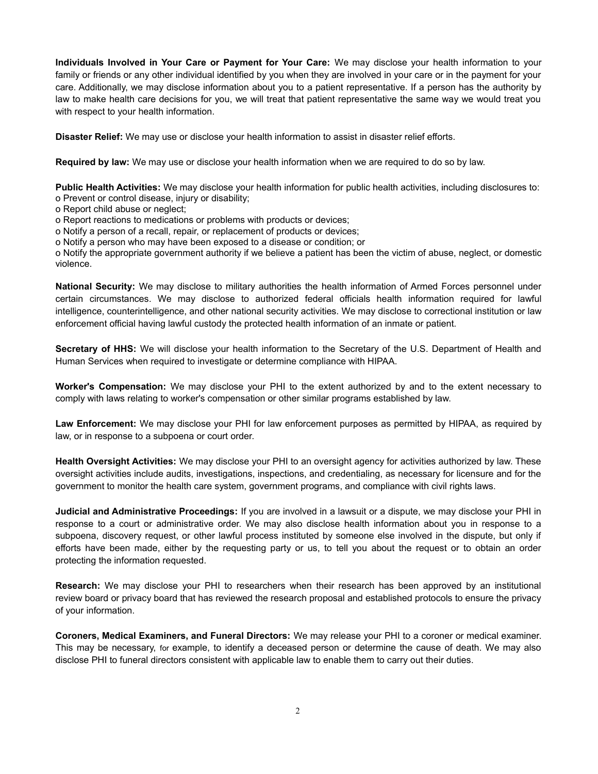**Individuals Involved in Your Care or Payment for Your Care:** We may disclose your health information to your family or friends or any other individual identified by you when they are involved in your care or in the payment for your care. Additionally, we may disclose information about you to a patient representative. If a person has the authority by law to make health care decisions for you, we will treat that patient representative the same way we would treat you with respect to your health information.

**Disaster Relief:** We may use or disclose your health information to assist in disaster relief efforts.

**Required by law:** We may use or disclose your health information when we are required to do so by law.

**Public Health Activities:** We may disclose your health information for public health activities, including disclosures to: o Prevent or control disease, injury or disability;

- o Report child abuse or neglect;
- o Report reactions to medications or problems with products or devices;
- o Notify a person of a recall, repair, or replacement of products or devices;
- o Notify a person who may have been exposed to a disease or condition; or

o Notify the appropriate government authority if we believe a patient has been the victim of abuse, neglect, or domestic violence.

**National Security:** We may disclose to military authorities the health information of Armed Forces personnel under certain circumstances. We may disclose to authorized federal officials health information required for lawful intelligence, counterintelligence, and other national security activities. We may disclose to correctional institution or law enforcement official having lawful custody the protected health information of an inmate or patient.

**Secretary of HHS:** We will disclose your health information to the Secretary of the U.S. Department of Health and Human Services when required to investigate or determine compliance with HIPAA.

**Worker's Compensation:** We may disclose your PHI to the extent authorized by and to the extent necessary to comply with laws relating to worker's compensation or other similar programs established by law.

**Law Enforcement:** We may disclose your PHI for law enforcement purposes as permitted by HIPAA, as required by law, or in response to a subpoena or court order.

**Health Oversight Activities:** We may disclose your PHI to an oversight agency for activities authorized by law. These oversight activities include audits, investigations, inspections, and credentialing, as necessary for licensure and for the government to monitor the health care system, government programs, and compliance with civil rights laws.

**Judicial and Administrative Proceedings:** If you are involved in a lawsuit or a dispute, we may disclose your PHI in response to a court or administrative order. We may also disclose health information about you in response to a subpoena, discovery request, or other lawful process instituted by someone else involved in the dispute, but only if efforts have been made, either by the requesting party or us, to tell you about the request or to obtain an order protecting the information requested.

**Research:** We may disclose your PHI to researchers when their research has been approved by an institutional review board or privacy board that has reviewed the research proposal and established protocols to ensure the privacy of your information.

**Coroners, Medical Examiners, and Funeral Directors:** We may release your PHI to a coroner or medical examiner. This may be necessary, for example, to identify a deceased person or determine the cause of death. We may also disclose PHI to funeral directors consistent with applicable law to enable them to carry out their duties.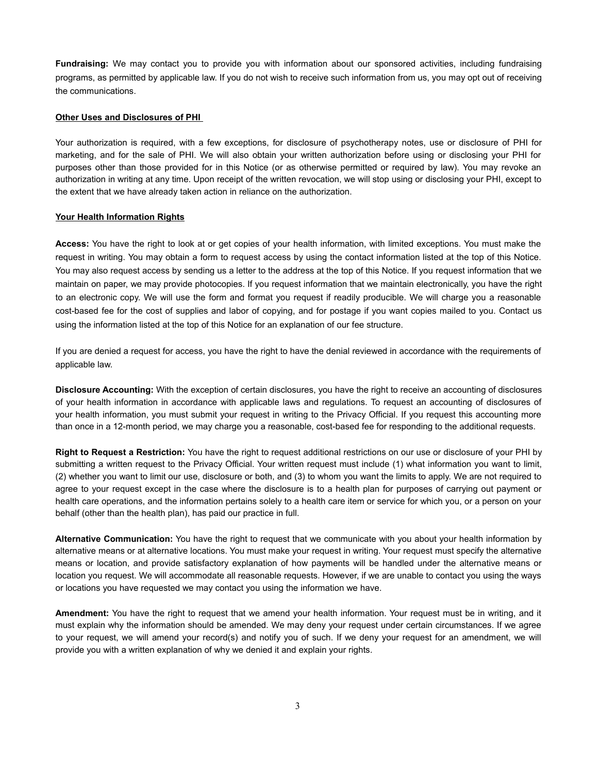**Fundraising:** We may contact you to provide you with information about our sponsored activities, including fundraising programs, as permitted by applicable law. If you do not wish to receive such information from us, you may opt out of receiving the communications.

#### **Other Uses and Disclosures of PHI**

Your authorization is required, with a few exceptions, for disclosure of psychotherapy notes, use or disclosure of PHI for marketing, and for the sale of PHI. We will also obtain your written authorization before using or disclosing your PHI for purposes other than those provided for in this Notice (or as otherwise permitted or required by law). You may revoke an authorization in writing at any time. Upon receipt of the written revocation, we will stop using or disclosing your PHI, except to the extent that we have already taken action in reliance on the authorization.

#### **Your Health Information Rights**

**Access:** You have the right to look at or get copies of your health information, with limited exceptions. You must make the request in writing. You may obtain a form to request access by using the contact information listed at the top of this Notice. You may also request access by sending us a letter to the address at the top of this Notice. If you request information that we maintain on paper, we may provide photocopies. If you request information that we maintain electronically, you have the right to an electronic copy. We will use the form and format you request if readily producible. We will charge you a reasonable cost-based fee for the cost of supplies and labor of copying, and for postage if you want copies mailed to you. Contact us using the information listed at the top of this Notice for an explanation of our fee structure.

If you are denied a request for access, you have the right to have the denial reviewed in accordance with the requirements of applicable law.

**Disclosure Accounting:** With the exception of certain disclosures, you have the right to receive an accounting of disclosures of your health information in accordance with applicable laws and regulations. To request an accounting of disclosures of your health information, you must submit your request in writing to the Privacy Official. If you request this accounting more than once in a 12-month period, we may charge you a reasonable, cost-based fee for responding to the additional requests.

**Right to Request a Restriction:** You have the right to request additional restrictions on our use or disclosure of your PHI by submitting a written request to the Privacy Official. Your written request must include (1) what information you want to limit, (2) whether you want to limit our use, disclosure or both, and (3) to whom you want the limits to apply. We are not required to agree to your request except in the case where the disclosure is to a health plan for purposes of carrying out payment or health care operations, and the information pertains solely to a health care item or service for which you, or a person on your behalf (other than the health plan), has paid our practice in full.

**Alternative Communication:** You have the right to request that we communicate with you about your health information by alternative means or at alternative locations. You must make your request in writing. Your request must specify the alternative means or location, and provide satisfactory explanation of how payments will be handled under the alternative means or location you request. We will accommodate all reasonable requests. However, if we are unable to contact you using the ways or locations you have requested we may contact you using the information we have.

**Amendment:** You have the right to request that we amend your health information. Your request must be in writing, and it must explain why the information should be amended. We may deny your request under certain circumstances. If we agree to your request, we will amend your record(s) and notify you of such. If we deny your request for an amendment, we will provide you with a written explanation of why we denied it and explain your rights.